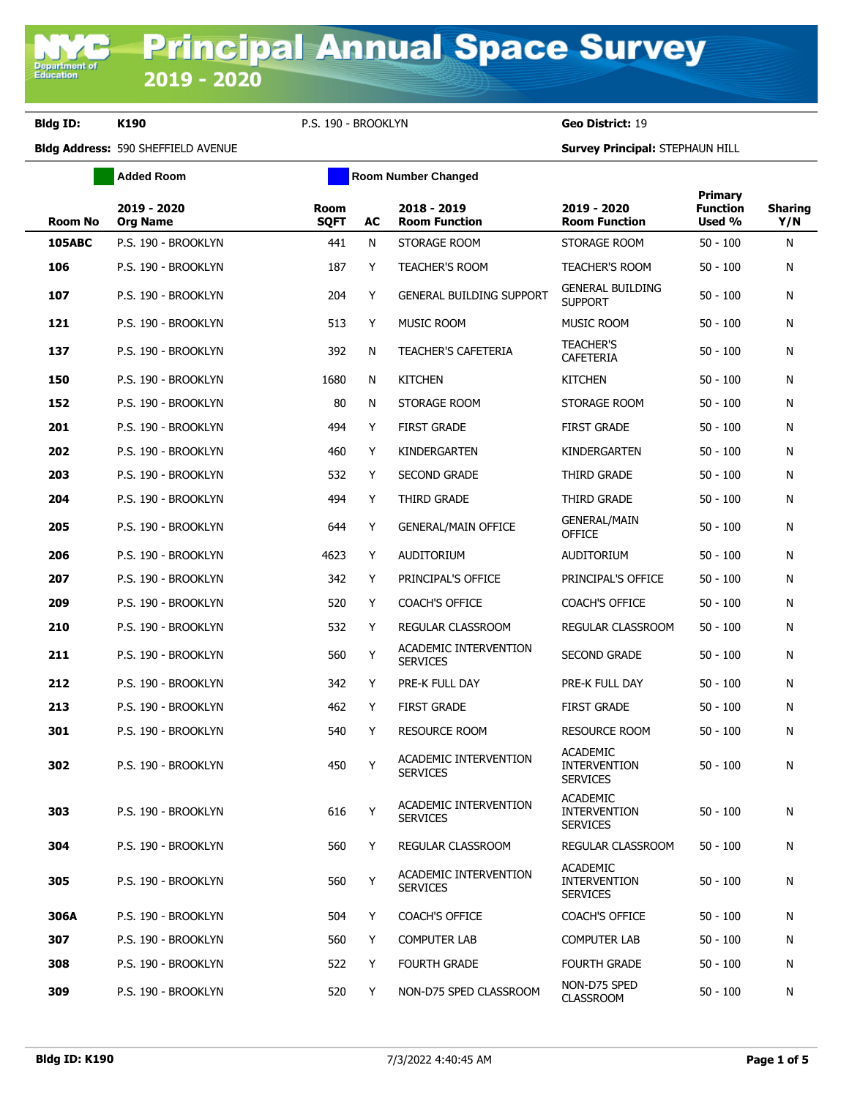**Department of**<br>Education

**Bldg ID: K190** P.S. 190 - BROOKLYN **Geo District:** 19

**Added Room Room Room Number Changed** 

**Bldg Address:** 590 SHEFFIELD AVENUE **Survey Principal:** STEPHAUN HILL

|                |                                |                            |    |                                          |                                                           | Primary                   |                       |
|----------------|--------------------------------|----------------------------|----|------------------------------------------|-----------------------------------------------------------|---------------------------|-----------------------|
| <b>Room No</b> | 2019 - 2020<br><b>Org Name</b> | <b>Room</b><br><b>SQFT</b> | AC | 2018 - 2019<br><b>Room Function</b>      | 2019 - 2020<br><b>Room Function</b>                       | <b>Function</b><br>Used % | <b>Sharing</b><br>Y/N |
| <b>105ABC</b>  | P.S. 190 - BROOKLYN            | 441                        | N  | STORAGE ROOM                             | STORAGE ROOM                                              | $50 - 100$                | N                     |
| 106            | P.S. 190 - BROOKLYN            | 187                        | Y  | TEACHER'S ROOM                           | <b>TEACHER'S ROOM</b>                                     | $50 - 100$                | N                     |
| 107            | P.S. 190 - BROOKLYN            | 204                        | Y  | <b>GENERAL BUILDING SUPPORT</b>          | <b>GENERAL BUILDING</b><br><b>SUPPORT</b>                 | $50 - 100$                | N                     |
| 121            | P.S. 190 - BROOKLYN            | 513                        | Y  | <b>MUSIC ROOM</b>                        | <b>MUSIC ROOM</b>                                         | $50 - 100$                | N                     |
| 137            | P.S. 190 - BROOKLYN            | 392                        | N  | <b>TEACHER'S CAFETERIA</b>               | <b>TEACHER'S</b><br>CAFETERIA                             | $50 - 100$                | N                     |
| 150            | P.S. 190 - BROOKLYN            | 1680                       | N  | <b>KITCHEN</b>                           | <b>KITCHEN</b>                                            | $50 - 100$                | Ν                     |
| 152            | P.S. 190 - BROOKLYN            | 80                         | N  | STORAGE ROOM                             | STORAGE ROOM                                              | $50 - 100$                | N                     |
| 201            | P.S. 190 - BROOKLYN            | 494                        | Y  | <b>FIRST GRADE</b>                       | <b>FIRST GRADE</b>                                        | $50 - 100$                | N                     |
| 202            | P.S. 190 - BROOKLYN            | 460                        | Y  | KINDERGARTEN                             | KINDERGARTEN                                              | $50 - 100$                | N                     |
| 203            | P.S. 190 - BROOKLYN            | 532                        | Y  | <b>SECOND GRADE</b>                      | THIRD GRADE                                               | $50 - 100$                | N                     |
| 204            | P.S. 190 - BROOKLYN            | 494                        | Y  | THIRD GRADE                              | THIRD GRADE                                               | $50 - 100$                | N                     |
| 205            | P.S. 190 - BROOKLYN            | 644                        | Y  | <b>GENERAL/MAIN OFFICE</b>               | <b>GENERAL/MAIN</b><br><b>OFFICE</b>                      | $50 - 100$                | N                     |
| 206            | P.S. 190 - BROOKLYN            | 4623                       | Y  | <b>AUDITORIUM</b>                        | <b>AUDITORIUM</b>                                         | $50 - 100$                | Ν                     |
| 207            | P.S. 190 - BROOKLYN            | 342                        | Y  | PRINCIPAL'S OFFICE                       | PRINCIPAL'S OFFICE                                        | $50 - 100$                | Ν                     |
| 209            | P.S. 190 - BROOKLYN            | 520                        | Y  | <b>COACH'S OFFICE</b>                    | <b>COACH'S OFFICE</b>                                     | $50 - 100$                | N                     |
| 210            | P.S. 190 - BROOKLYN            | 532                        | Y  | REGULAR CLASSROOM                        | REGULAR CLASSROOM                                         | $50 - 100$                | Ν                     |
| 211            | P.S. 190 - BROOKLYN            | 560                        | Y  | ACADEMIC INTERVENTION<br><b>SERVICES</b> | <b>SECOND GRADE</b>                                       | $50 - 100$                | Ν                     |
| 212            | P.S. 190 - BROOKLYN            | 342                        | Y  | PRE-K FULL DAY                           | PRE-K FULL DAY                                            | $50 - 100$                | N                     |
| 213            | P.S. 190 - BROOKLYN            | 462                        | Y  | <b>FIRST GRADE</b>                       | <b>FIRST GRADE</b>                                        | $50 - 100$                | N                     |
| 301            | P.S. 190 - BROOKLYN            | 540                        | Y  | <b>RESOURCE ROOM</b>                     | <b>RESOURCE ROOM</b>                                      | 50 - 100                  | N                     |
| 302            | P.S. 190 - BROOKLYN            | 450                        | Y  | ACADEMIC INTERVENTION<br><b>SERVICES</b> | <b>ACADEMIC</b><br><b>INTERVENTION</b><br><b>SERVICES</b> | $50 - 100$                | Ν                     |
| 303            | P.S. 190 - BROOKLYN            | 616                        | Y  | ACADEMIC INTERVENTION<br><b>SERVICES</b> | <b>ACADEMIC</b><br><b>INTERVENTION</b><br><b>SERVICES</b> | $50 - 100$                | N                     |
| 304            | P.S. 190 - BROOKLYN            | 560                        | Y  | REGULAR CLASSROOM                        | REGULAR CLASSROOM                                         | $50 - 100$                | N                     |
| 305            | P.S. 190 - BROOKLYN            | 560                        | Y  | ACADEMIC INTERVENTION<br><b>SERVICES</b> | <b>ACADEMIC</b><br><b>INTERVENTION</b><br><b>SERVICES</b> | $50 - 100$                | N                     |
| 306A           | P.S. 190 - BROOKLYN            | 504                        | Y  | <b>COACH'S OFFICE</b>                    | <b>COACH'S OFFICE</b>                                     | $50 - 100$                | N                     |
| 307            | P.S. 190 - BROOKLYN            | 560                        | Y  | <b>COMPUTER LAB</b>                      | <b>COMPUTER LAB</b>                                       | $50 - 100$                | N                     |
| 308            | P.S. 190 - BROOKLYN            | 522                        | Y  | <b>FOURTH GRADE</b>                      | <b>FOURTH GRADE</b>                                       | $50 - 100$                | N                     |
| 309            | P.S. 190 - BROOKLYN            | 520                        | Y  | NON-D75 SPED CLASSROOM                   | NON-D75 SPED<br><b>CLASSROOM</b>                          | $50 - 100$                | N                     |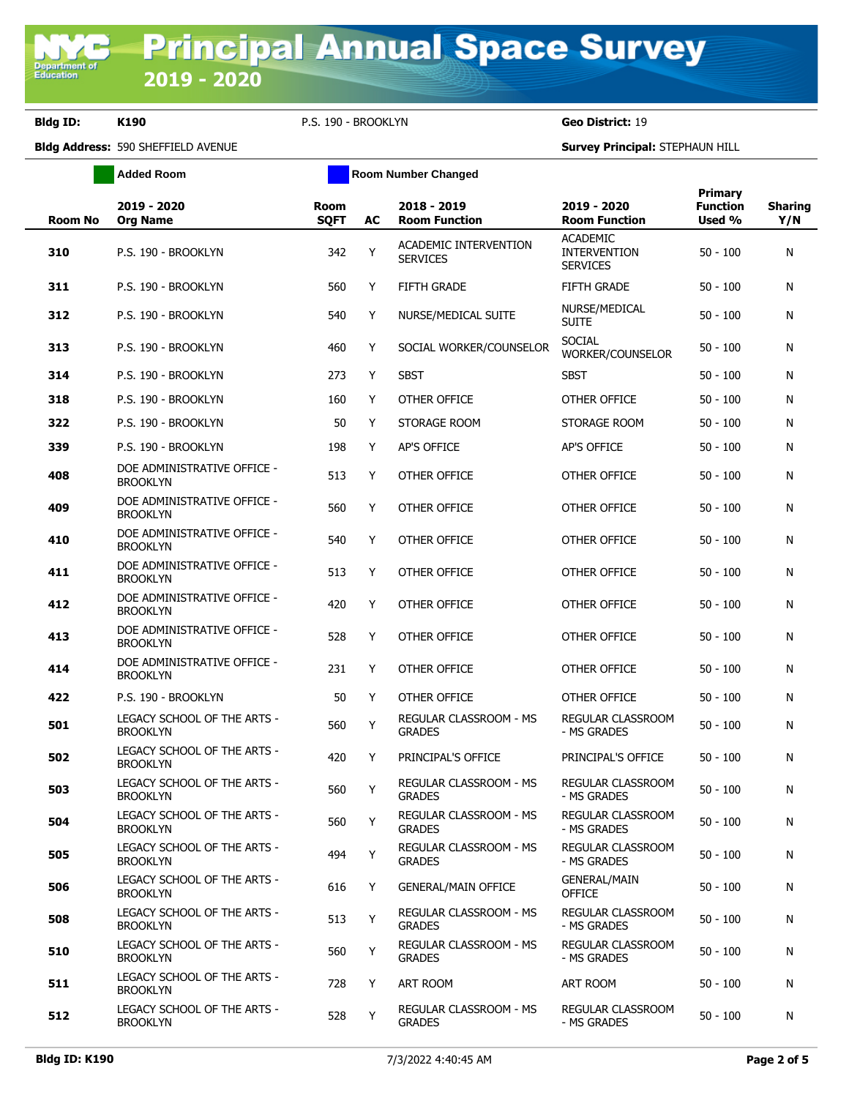**Bldg ID: K190** P.S. 190 - BROOKLYN **Geo District:** 19

**Added Room Room Room Number Changed** 

**Bldg Address:** 590 SHEFFIELD AVENUE **Survey Principal:** STEPHAUN HILL

| ACADEMIC INTERVENTION<br>Y<br>310<br>P.S. 190 - BROOKLYN<br>342<br><b>SERVICES</b><br>311<br>P.S. 190 - BROOKLYN<br>560<br>Y<br><b>FIFTH GRADE</b><br>312<br>540<br>Y<br>P.S. 190 - BROOKLYN<br>NURSE/MEDICAL SUITE<br>313<br>P.S. 190 - BROOKLYN<br>460<br>Y<br>SOCIAL WORKER/COUNSELOR<br>314<br>P.S. 190 - BROOKLYN<br>273<br>Y<br><b>SBST</b><br>318<br>P.S. 190 - BROOKLYN<br>160<br>Y<br>OTHER OFFICE<br>322<br>P.S. 190 - BROOKLYN<br>50<br>STORAGE ROOM<br>Y<br>339<br>P.S. 190 - BROOKLYN<br>198<br>Y<br><b>AP'S OFFICE</b><br>DOE ADMINISTRATIVE OFFICE -<br>513<br>408<br>Y<br>OTHER OFFICE<br><b>BROOKLYN</b><br>DOE ADMINISTRATIVE OFFICE -<br>409<br>560<br>Y<br>OTHER OFFICE | Primary<br>2019 - 2020<br><b>Function</b><br><b>Room Function</b><br>Used % | <b>Sharing</b><br>Y/N |
|---------------------------------------------------------------------------------------------------------------------------------------------------------------------------------------------------------------------------------------------------------------------------------------------------------------------------------------------------------------------------------------------------------------------------------------------------------------------------------------------------------------------------------------------------------------------------------------------------------------------------------------------------------------------------------------------|-----------------------------------------------------------------------------|-----------------------|
|                                                                                                                                                                                                                                                                                                                                                                                                                                                                                                                                                                                                                                                                                             | <b>ACADEMIC</b><br><b>INTERVENTION</b><br>$50 - 100$<br><b>SERVICES</b>     | N                     |
|                                                                                                                                                                                                                                                                                                                                                                                                                                                                                                                                                                                                                                                                                             | <b>FIFTH GRADE</b><br>$50 - 100$                                            | N                     |
|                                                                                                                                                                                                                                                                                                                                                                                                                                                                                                                                                                                                                                                                                             | NURSE/MEDICAL<br>$50 - 100$<br><b>SUITE</b>                                 | N                     |
|                                                                                                                                                                                                                                                                                                                                                                                                                                                                                                                                                                                                                                                                                             | <b>SOCIAL</b><br>$50 - 100$<br>WORKER/COUNSELOR                             | N                     |
|                                                                                                                                                                                                                                                                                                                                                                                                                                                                                                                                                                                                                                                                                             | <b>SBST</b><br>$50 - 100$                                                   | N                     |
|                                                                                                                                                                                                                                                                                                                                                                                                                                                                                                                                                                                                                                                                                             | OTHER OFFICE<br>$50 - 100$                                                  | N                     |
|                                                                                                                                                                                                                                                                                                                                                                                                                                                                                                                                                                                                                                                                                             | STORAGE ROOM<br>$50 - 100$                                                  | N                     |
|                                                                                                                                                                                                                                                                                                                                                                                                                                                                                                                                                                                                                                                                                             | <b>AP'S OFFICE</b><br>$50 - 100$                                            | N                     |
|                                                                                                                                                                                                                                                                                                                                                                                                                                                                                                                                                                                                                                                                                             | OTHER OFFICE<br>$50 - 100$                                                  | N                     |
| <b>BROOKLYN</b>                                                                                                                                                                                                                                                                                                                                                                                                                                                                                                                                                                                                                                                                             | OTHER OFFICE<br>$50 - 100$                                                  | N                     |
| DOE ADMINISTRATIVE OFFICE -<br>540<br>Y<br>OTHER OFFICE<br>410<br><b>BROOKLYN</b>                                                                                                                                                                                                                                                                                                                                                                                                                                                                                                                                                                                                           | OTHER OFFICE<br>$50 - 100$                                                  | N                     |
| DOE ADMINISTRATIVE OFFICE -<br>411<br>513<br>Y<br><b>OTHER OFFICE</b><br><b>BROOKLYN</b>                                                                                                                                                                                                                                                                                                                                                                                                                                                                                                                                                                                                    | OTHER OFFICE<br>$50 - 100$                                                  | N                     |
| DOE ADMINISTRATIVE OFFICE -<br>412<br>420<br>Y<br><b>OTHER OFFICE</b><br><b>BROOKLYN</b>                                                                                                                                                                                                                                                                                                                                                                                                                                                                                                                                                                                                    | OTHER OFFICE<br>$50 - 100$                                                  | N                     |
| DOE ADMINISTRATIVE OFFICE -<br>413<br>528<br>Y<br><b>OTHER OFFICE</b><br><b>BROOKLYN</b>                                                                                                                                                                                                                                                                                                                                                                                                                                                                                                                                                                                                    | OTHER OFFICE<br>$50 - 100$                                                  | N                     |
| DOE ADMINISTRATIVE OFFICE -<br>231<br>OTHER OFFICE<br>414<br>Y<br><b>BROOKLYN</b>                                                                                                                                                                                                                                                                                                                                                                                                                                                                                                                                                                                                           | OTHER OFFICE<br>$50 - 100$                                                  | N                     |
| 422<br>50<br>Y<br>OTHER OFFICE<br>P.S. 190 - BROOKLYN                                                                                                                                                                                                                                                                                                                                                                                                                                                                                                                                                                                                                                       | OTHER OFFICE<br>$50 - 100$                                                  | N                     |
| LEGACY SCHOOL OF THE ARTS -<br>REGULAR CLASSROOM - MS<br>560<br>Y<br>501<br><b>BROOKLYN</b><br><b>GRADES</b>                                                                                                                                                                                                                                                                                                                                                                                                                                                                                                                                                                                | REGULAR CLASSROOM<br>$50 - 100$<br>- MS GRADES                              | N                     |
| LEGACY SCHOOL OF THE ARTS -<br>502<br>420<br>Y<br>PRINCIPAL'S OFFICE<br><b>BROOKLYN</b>                                                                                                                                                                                                                                                                                                                                                                                                                                                                                                                                                                                                     | PRINCIPAL'S OFFICE<br>$50 - 100$                                            | N                     |
| LEGACY SCHOOL OF THE ARTS -<br><b>REGULAR CLASSROOM - MS</b><br>560<br>503<br>Y<br><b>GRADES</b><br><b>BROOKLYN</b>                                                                                                                                                                                                                                                                                                                                                                                                                                                                                                                                                                         | REGULAR CLASSROOM<br>$50 - 100$<br>- MS GRADES                              | N                     |
| LEGACY SCHOOL OF THE ARTS -<br>REGULAR CLASSROOM - MS<br>504<br>560<br>Y<br><b>BROOKLYN</b><br><b>GRADES</b>                                                                                                                                                                                                                                                                                                                                                                                                                                                                                                                                                                                | REGULAR CLASSROOM<br>$50 - 100$<br>- MS GRADES                              | N                     |
| LEGACY SCHOOL OF THE ARTS -<br>REGULAR CLASSROOM - MS<br>Y<br>505<br>494<br><b>BROOKLYN</b><br><b>GRADES</b>                                                                                                                                                                                                                                                                                                                                                                                                                                                                                                                                                                                | REGULAR CLASSROOM<br>$50 - 100$<br>- MS GRADES                              | N                     |
| LEGACY SCHOOL OF THE ARTS -<br>616<br>506<br>Y<br><b>GENERAL/MAIN OFFICE</b><br><b>BROOKLYN</b>                                                                                                                                                                                                                                                                                                                                                                                                                                                                                                                                                                                             | <b>GENERAL/MAIN</b><br>$50 - 100$<br><b>OFFICE</b>                          | N                     |
| LEGACY SCHOOL OF THE ARTS -<br>REGULAR CLASSROOM - MS<br>513<br>Y<br>508<br><b>BROOKLYN</b><br><b>GRADES</b>                                                                                                                                                                                                                                                                                                                                                                                                                                                                                                                                                                                | REGULAR CLASSROOM<br>$50 - 100$<br>- MS GRADES                              | N                     |
| LEGACY SCHOOL OF THE ARTS -<br><b>REGULAR CLASSROOM - MS</b><br>560<br>Y<br>510<br><b>BROOKLYN</b><br><b>GRADES</b>                                                                                                                                                                                                                                                                                                                                                                                                                                                                                                                                                                         | REGULAR CLASSROOM<br>$50 - 100$<br>- MS GRADES                              | N                     |
| LEGACY SCHOOL OF THE ARTS -<br>511<br>728<br>ART ROOM<br>Y<br><b>BROOKLYN</b>                                                                                                                                                                                                                                                                                                                                                                                                                                                                                                                                                                                                               | ART ROOM<br>$50 - 100$                                                      | N                     |
| LEGACY SCHOOL OF THE ARTS -<br>REGULAR CLASSROOM - MS<br>528<br>512<br>Y<br><b>BROOKLYN</b><br><b>GRADES</b>                                                                                                                                                                                                                                                                                                                                                                                                                                                                                                                                                                                | REGULAR CLASSROOM<br>$50 - 100$<br>- MS GRADES                              | N                     |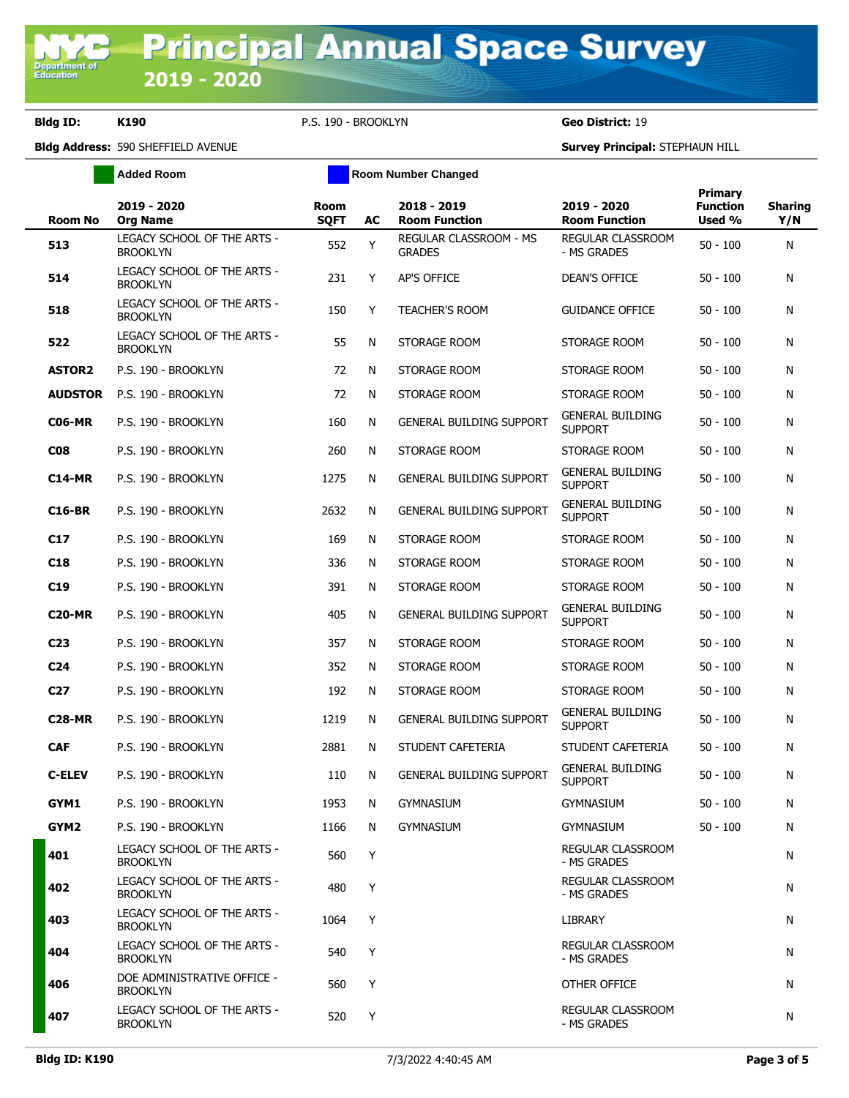**Bldg ID: K190** P.S. 190 - BROOKLYN **Geo District:** 19

**Added Room Room Room Number Changed** 

**Bldg Address:** 590 SHEFFIELD AVENUE **Survey Principal:** STEPHAUN HILL

| <b>Room No</b>  | 2019 - 2020<br><b>Org Name</b>                 | <b>Room</b><br><b>SQFT</b> | AC | 2018 - 2019<br><b>Room Function</b>     | 2019 - 2020<br><b>Room Function</b>       | Primary<br><b>Function</b><br>Used % | <b>Sharing</b><br>Y/N |
|-----------------|------------------------------------------------|----------------------------|----|-----------------------------------------|-------------------------------------------|--------------------------------------|-----------------------|
| 513             | LEGACY SCHOOL OF THE ARTS -<br><b>BROOKLYN</b> | 552                        | Y  | REGULAR CLASSROOM - MS<br><b>GRADES</b> | REGULAR CLASSROOM<br>- MS GRADES          | $50 - 100$                           | N                     |
| 514             | LEGACY SCHOOL OF THE ARTS -<br><b>BROOKLYN</b> | 231                        | Y  | AP'S OFFICE                             | <b>DEAN'S OFFICE</b>                      | $50 - 100$                           | N                     |
| 518             | LEGACY SCHOOL OF THE ARTS -<br><b>BROOKLYN</b> | 150                        | Y  | <b>TEACHER'S ROOM</b>                   | <b>GUIDANCE OFFICE</b>                    | $50 - 100$                           | N                     |
| 522             | LEGACY SCHOOL OF THE ARTS -<br><b>BROOKLYN</b> | 55                         | N  | STORAGE ROOM                            | STORAGE ROOM                              | $50 - 100$                           | N                     |
| <b>ASTOR2</b>   | P.S. 190 - BROOKLYN                            | 72                         | N  | STORAGE ROOM                            | STORAGE ROOM                              | $50 - 100$                           | N                     |
| <b>AUDSTOR</b>  | P.S. 190 - BROOKLYN                            | 72                         | N  | STORAGE ROOM                            | STORAGE ROOM                              | $50 - 100$                           | N                     |
| <b>C06-MR</b>   | P.S. 190 - BROOKLYN                            | 160                        | N  | <b>GENERAL BUILDING SUPPORT</b>         | <b>GENERAL BUILDING</b><br><b>SUPPORT</b> | $50 - 100$                           | N                     |
| C <sub>08</sub> | P.S. 190 - BROOKLYN                            | 260                        | N  | STORAGE ROOM                            | STORAGE ROOM                              | $50 - 100$                           | N                     |
| <b>C14-MR</b>   | P.S. 190 - BROOKLYN                            | 1275                       | N  | <b>GENERAL BUILDING SUPPORT</b>         | <b>GENERAL BUILDING</b><br><b>SUPPORT</b> | $50 - 100$                           | N                     |
| <b>C16-BR</b>   | P.S. 190 - BROOKLYN                            | 2632                       | N  | <b>GENERAL BUILDING SUPPORT</b>         | <b>GENERAL BUILDING</b><br><b>SUPPORT</b> | $50 - 100$                           | N                     |
| C17             | P.S. 190 - BROOKLYN                            | 169                        | N  | STORAGE ROOM                            | STORAGE ROOM                              | $50 - 100$                           | N                     |
| C <sub>18</sub> | P.S. 190 - BROOKLYN                            | 336                        | N  | STORAGE ROOM                            | STORAGE ROOM                              | $50 - 100$                           | N                     |
| C19             | P.S. 190 - BROOKLYN                            | 391                        | N  | STORAGE ROOM                            | STORAGE ROOM                              | $50 - 100$                           | N                     |
| <b>C20-MR</b>   | P.S. 190 - BROOKLYN                            | 405                        | N  | <b>GENERAL BUILDING SUPPORT</b>         | <b>GENERAL BUILDING</b><br><b>SUPPORT</b> | $50 - 100$                           | N                     |
| C <sub>23</sub> | P.S. 190 - BROOKLYN                            | 357                        | N  | STORAGE ROOM                            | STORAGE ROOM                              | $50 - 100$                           | N                     |
| C <sub>24</sub> | P.S. 190 - BROOKLYN                            | 352                        | N  | STORAGE ROOM                            | STORAGE ROOM                              | $50 - 100$                           | N                     |
| C <sub>27</sub> | P.S. 190 - BROOKLYN                            | 192                        | N  | STORAGE ROOM                            | STORAGE ROOM                              | $50 - 100$                           | N                     |
| <b>C28-MR</b>   | P.S. 190 - BROOKLYN                            | 1219                       | N  | <b>GENERAL BUILDING SUPPORT</b>         | <b>GENERAL BUILDING</b><br><b>SUPPORT</b> | $50 - 100$                           | N                     |
| <b>CAF</b>      | P.S. 190 - BROOKLYN                            | 2881                       | N  | STUDENT CAFETERIA                       | STUDENT CAFETERIA                         | $50 - 100$                           | N                     |
| <b>C-ELEV</b>   | P.S. 190 - BROOKLYN                            | 110                        | N  | <b>GENERAL BUILDING SUPPORT</b>         | <b>GENERAL BUILDING</b><br><b>SUPPORT</b> | $50 - 100$                           | N                     |
| GYM1            | P.S. 190 - BROOKLYN                            | 1953                       | N  | <b>GYMNASIUM</b>                        | <b>GYMNASIUM</b>                          | $50 - 100$                           | N                     |
| GYM2            | P.S. 190 - BROOKLYN                            | 1166                       | N  | GYMNASIUM                               | gymnasium                                 | $50 - 100$                           | N                     |
| 401             | LEGACY SCHOOL OF THE ARTS -<br><b>BROOKLYN</b> | 560                        | Y  |                                         | REGULAR CLASSROOM<br>- MS GRADES          |                                      | N                     |
| 402             | LEGACY SCHOOL OF THE ARTS -<br><b>BROOKLYN</b> | 480                        | Y  |                                         | REGULAR CLASSROOM<br>- MS GRADES          |                                      | N                     |
| 403             | LEGACY SCHOOL OF THE ARTS -<br><b>BROOKLYN</b> | 1064                       | Y  |                                         | <b>LIBRARY</b>                            |                                      | N                     |
| 404             | LEGACY SCHOOL OF THE ARTS -<br><b>BROOKLYN</b> | 540                        | Y  |                                         | REGULAR CLASSROOM<br>- MS GRADES          |                                      | N                     |
| 406             | DOE ADMINISTRATIVE OFFICE -<br><b>BROOKLYN</b> | 560                        | Y  |                                         | OTHER OFFICE                              |                                      | N                     |
| 407             | LEGACY SCHOOL OF THE ARTS -<br><b>BROOKLYN</b> | 520                        | Y  |                                         | REGULAR CLASSROOM<br>- MS GRADES          |                                      | N                     |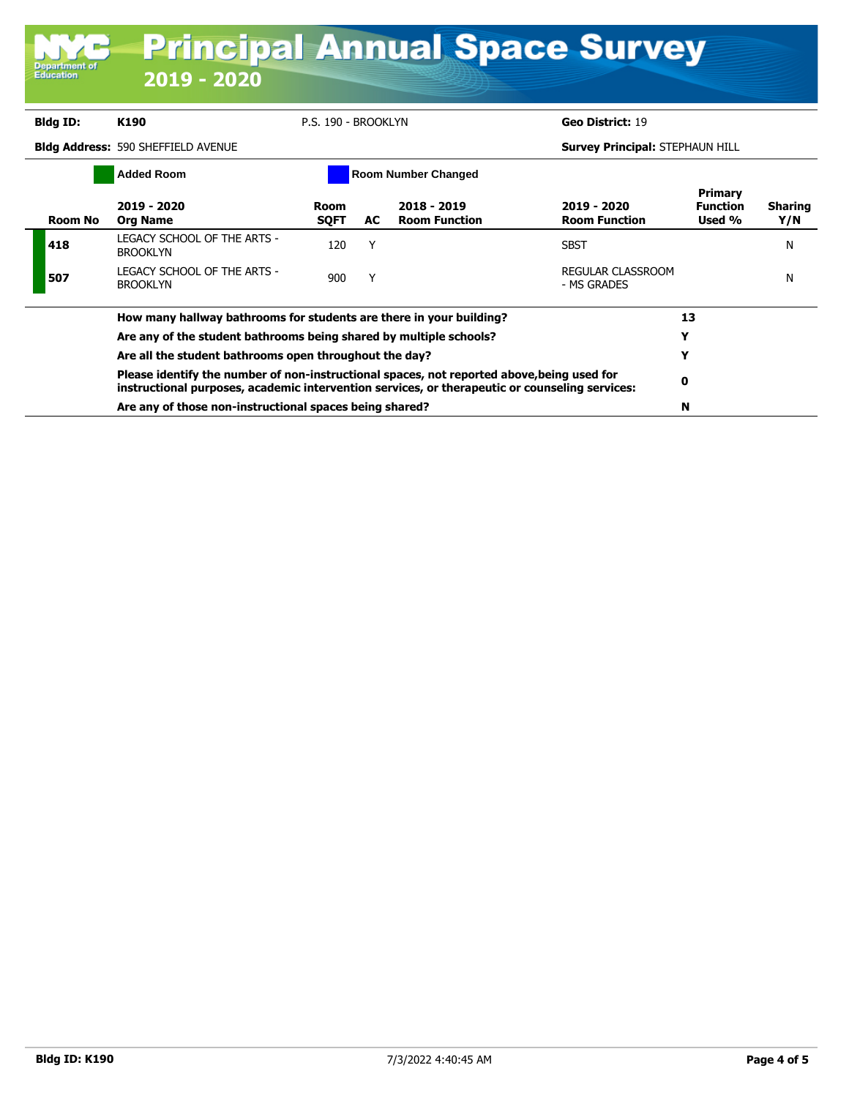| Bidg ID: | K190                                                                                                                                                                                         | P.S. 190 - BROOKLYN |     |                                     | Geo District: 19                        |                                             |                       |  |
|----------|----------------------------------------------------------------------------------------------------------------------------------------------------------------------------------------------|---------------------|-----|-------------------------------------|-----------------------------------------|---------------------------------------------|-----------------------|--|
|          | <b>Bidg Address: 590 SHEFFIELD AVENUE</b>                                                                                                                                                    |                     |     |                                     | <b>Survey Principal: STEPHAUN HILL</b>  |                                             |                       |  |
|          | <b>Added Room</b>                                                                                                                                                                            |                     |     | <b>Room Number Changed</b>          |                                         |                                             |                       |  |
| Room No  | 2019 - 2020<br><b>Org Name</b>                                                                                                                                                               | Room<br><b>SQFT</b> | AC. | 2018 - 2019<br><b>Room Function</b> | 2019 - 2020<br><b>Room Function</b>     | <b>Primary</b><br><b>Function</b><br>Used % | <b>Sharing</b><br>Y/N |  |
| 418      | LEGACY SCHOOL OF THE ARTS -<br><b>BROOKLYN</b>                                                                                                                                               | 120                 | Υ   |                                     | <b>SBST</b>                             |                                             | N                     |  |
| 507      | LEGACY SCHOOL OF THE ARTS -<br><b>BROOKLYN</b>                                                                                                                                               | 900                 | Y   |                                     | <b>REGULAR CLASSROOM</b><br>- MS GRADES |                                             | N                     |  |
|          | How many hallway bathrooms for students are there in your building?                                                                                                                          |                     |     |                                     |                                         |                                             |                       |  |
|          | Are any of the student bathrooms being shared by multiple schools?                                                                                                                           |                     | Y   |                                     |                                         |                                             |                       |  |
|          | Are all the student bathrooms open throughout the day?                                                                                                                                       |                     |     |                                     |                                         |                                             |                       |  |
|          | Please identify the number of non-instructional spaces, not reported above, being used for<br>instructional purposes, academic intervention services, or therapeutic or counseling services: |                     | 0   |                                     |                                         |                                             |                       |  |
|          | Are any of those non-instructional spaces being shared?                                                                                                                                      | N                   |     |                                     |                                         |                                             |                       |  |